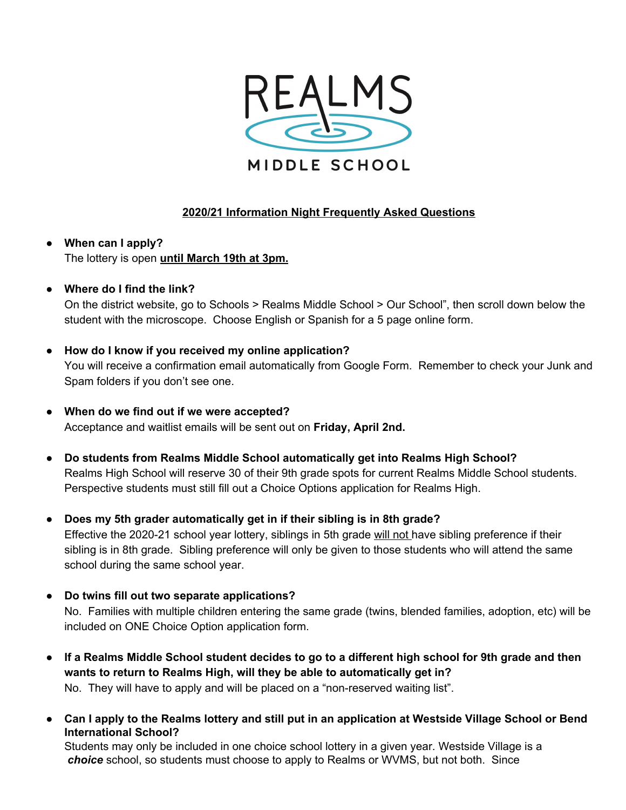

# **2020/21 Information Night Frequently Asked Questions**

**● When can I apply?** The lottery is open **until March 19th at 3pm.**

## **● Where do I find the link?**

On the district website, go to Schools > Realms Middle School > Our School", then scroll down below the student with the microscope. Choose English or Spanish for a 5 page online form.

## **● How do I know if you received my online application?**

You will receive a confirmation email automatically from Google Form. Remember to check your Junk and Spam folders if you don't see one.

- **● When do we find out if we were accepted?** Acceptance and waitlist emails will be sent out on **Friday, April 2nd.**
- **● Do students from Realms Middle School automatically get into Realms High School?** Realms High School will reserve 30 of their 9th grade spots for current Realms Middle School students. Perspective students must still fill out a Choice Options application for Realms High.
- **● Does my 5th grader automatically get in if their sibling is in 8th grade?** Effective the 2020-21 school year lottery, siblings in 5th grade will not have sibling preference if their sibling is in 8th grade. Sibling preference will only be given to those students who will attend the same school during the same school year.
- **● Do twins fill out two separate applications?** No. Families with multiple children entering the same grade (twins, blended families, adoption, etc) will be included on ONE Choice Option application form.
- If a Realms Middle School student decides to go to a different high school for 9th grade and then **wants to return to Realms High, will they be able to automatically get in?** No. They will have to apply and will be placed on a "non-reserved waiting list".
- Can I apply to the Realms lottery and still put in an application at Westside Village School or Bend **International School?**

Students may only be included in one choice school lottery in a given year. Westside Village is a *choice* school, so students must choose to apply to Realms or WVMS, but not both. Since